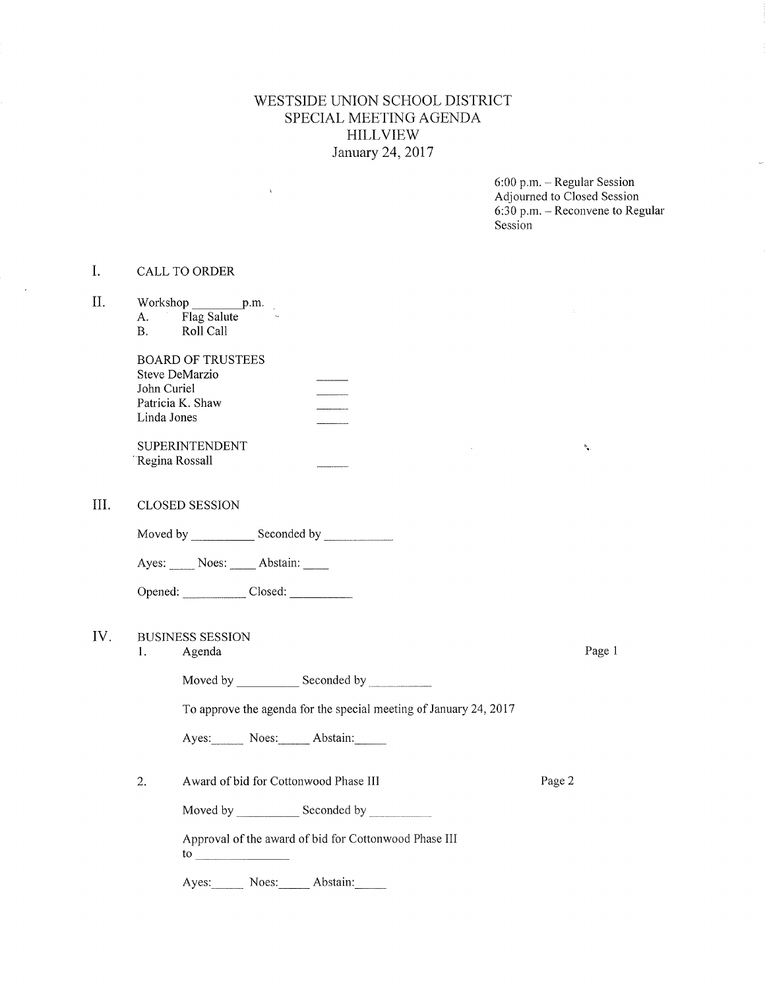#### WESTSIDE UNION SCHOOL DISTRICT SPECIAL MEETING AGENDA HILLVIEW January 24,2017

6:00 p.m. - Regular Session Adjourned to Cìosed Session 6:30 p.m. - Reconvene to Regular Session

#### I. CALLToORDER

 $\chi$ 

| II. | A.<br><b>B.</b>            | Workshop p.m.<br>Flag Salute<br>Roll Call                         |        |        |
|-----|----------------------------|-------------------------------------------------------------------|--------|--------|
|     | John Curiel<br>Linda Jones | <b>BOARD OF TRUSTEES</b><br>Steve DeMarzio<br>Patricia K. Shaw    |        |        |
|     | "Regina Rossall            | SUPERINTENDENT                                                    |        | ۰.     |
| Ш.  |                            | <b>CLOSED SESSION</b>                                             |        |        |
|     |                            |                                                                   |        |        |
|     |                            | Ayes: Noes: Abstain:                                              |        |        |
|     |                            |                                                                   |        |        |
| IV. | 1.                         | <b>BUSINESS SESSION</b><br>Agenda                                 |        | Page 1 |
|     |                            | Moved by Seconded by Seconded by                                  |        |        |
|     |                            | To approve the agenda for the special meeting of January 24, 2017 |        |        |
|     |                            | Ayes: Noes: Abstain:                                              |        |        |
|     | 2.                         | Award of bid for Cottonwood Phase III                             | Page 2 |        |
|     |                            | Moved by Seconded by                                              |        |        |

Approval of the award of bid for Cottonwood Phase III to

Ayes: Noes: Abstain: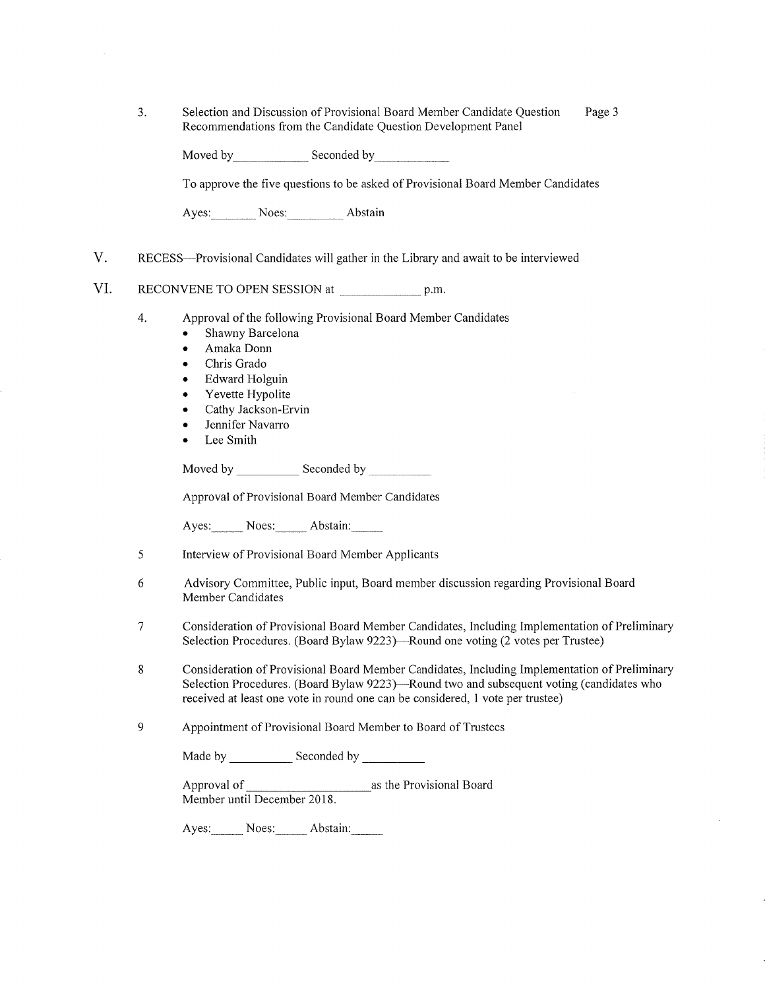| Selection and Discussion of Provisional Board Member Candidate Question | Page 3 |
|-------------------------------------------------------------------------|--------|
| Recommendations from the Candidate Question Development Panel           |        |

Moved by Seconded by Seconded by

To approve the five questions to be asked of Provisional Board Member Candidates

Ayes: Noes: Abstain

V. RECESS-Provisional Candidates will gather in the Library and await to be interviewed

#### VI. RECONVENE TO OPEN SESSION at p.m.

- 4. Approval of the following Provisional Board Member Candidates
	- Shawny Barcelona
	- . Amaka Donn
	- ¡ Chris Grado
	- Edward Holguin
	- Yevette Hypolite
	- . Cathy Jackson-Ervin
	- Jennifer Navarro
	- Lee Smith

Moved by Seconded by Seconded by

Approval of Provisional Board Member Candidates

Ayes: Noes: Abstain:

- 5 Interview of Provisional Board Member Applicants
- 6 Advisory Committee, Public input, Board member discussion regarding Provisional Board Member Candidates
- 1 Consideration of Provisional Board Member Candidates, Including Implementation of Preliminary Selection Procedures. (Board Bylaw 9223)—Round one voting (2 votes per Trustee)
- Consideration of Provisional Board Member Candidates, Including Implementation of Preliminary Selection Procedures. (Board Bylaw 9223)—Round two and subsequent voting (candidates who received at least one vote in round one can be considered, 1 vote per trustee) 8

#### 9 Appointment of Provisional Board Mernber to Board of Trustees

| Made by | Seconded by |
|---------|-------------|
|---------|-------------|

Approval of as the Provisional Board Member until December 2018

Ayes: Noes: Abstain: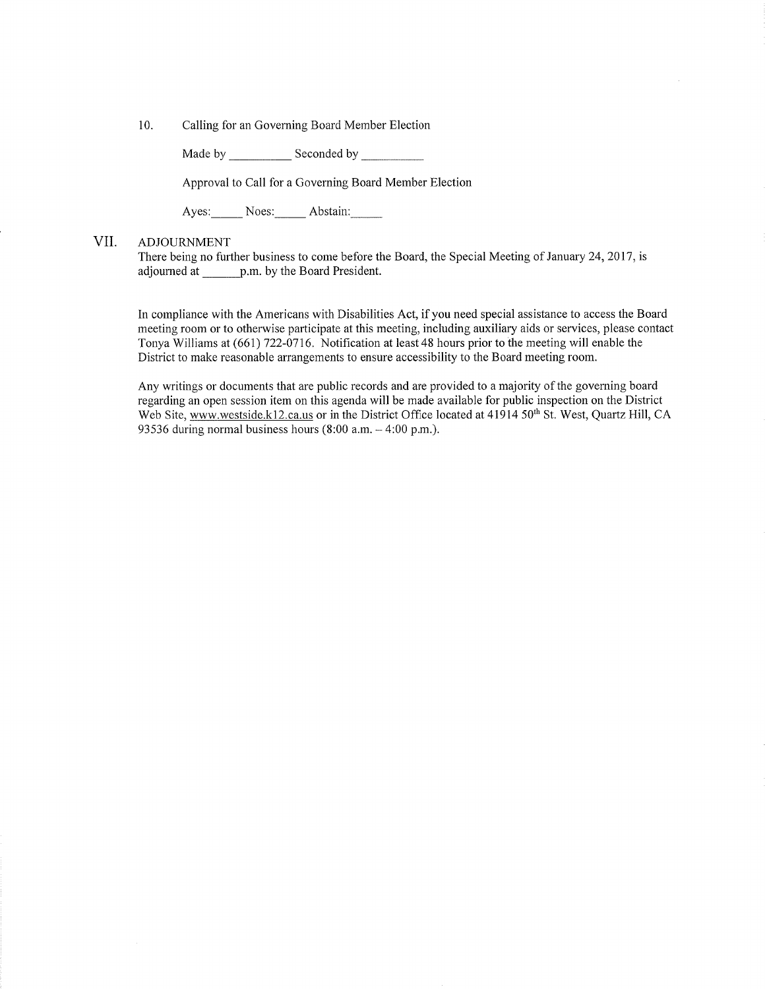10. Calling for an Governing Board Member Election

Made by Seconded by

Approval to Call for a Governing Board Member Election

Ayes: Noes: Abstain:

#### VII. ADJOURNMENT

There being no further business to come before the Board, the Special Meeting of January 24, 2017, is adjourned at p.m. by the Board President.

In compliance with the Americans with Disabilities Act, if you need special assistance to access the Board meeting room or to otherwise parlicipate at this meeting, including auxiliary aids or services, please contact Tonya Williams at (661) 722-0716. Notification at least 48 hours prior to the meeting will enable the District to make reasonable arrangements to ensure accessibility to the Board meeting room.

Any writings or documents that are public records and are provided to a majority of the governing board regarding an open session item on this agenda will be made available for public inspection on the District Web Site, www.westside.k12.ca.us or in the District Office located at 41914 50<sup>th</sup> St. West, Quartz Hill, CA 93536 during normal business hours  $(8:00$  a.m.  $-4:00$  p.m.).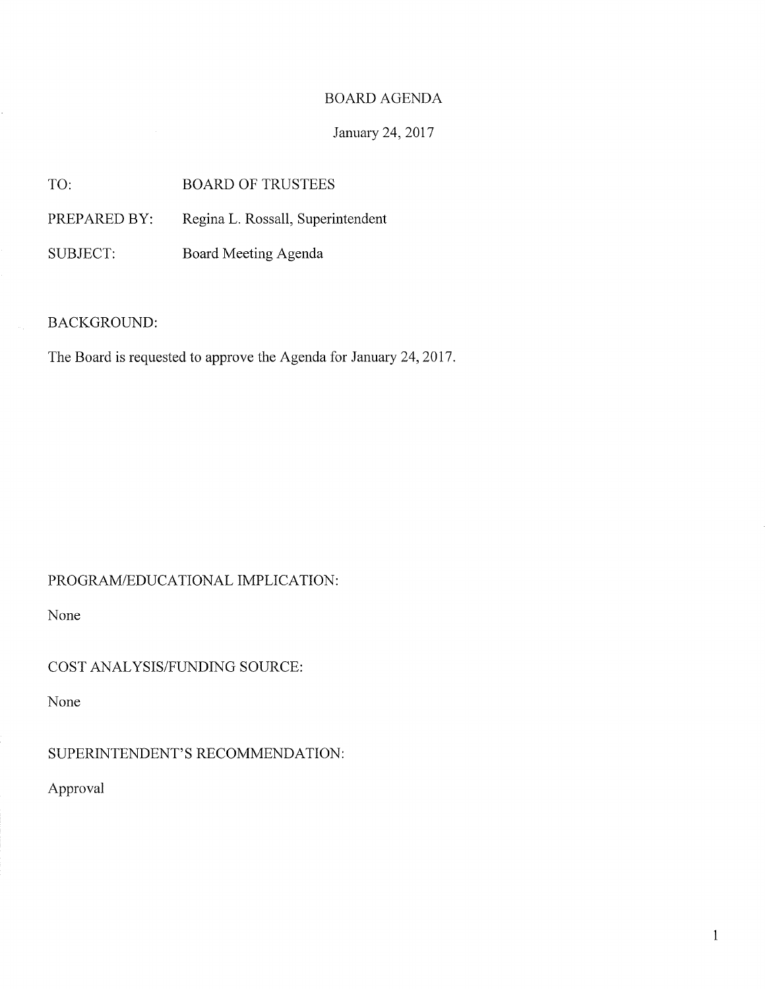### BOARD AGENDA

### January 24, 2017

TO: BOARD OF TRUSTEES

PREPARED BY: Regina L. Rossall, Superintendent

SUBJECT: Board Meeting Agenda

BACKGROUND:

The Board is requested to approve the Agenda for January 24, 2017.

## PROGRAM/EDUCATIONAL IMPLICATION

None

COST ANALYSIS/FUNDING SOURCE:

None

SUPERINTENDENT'S RECOMMENDATION:

Approval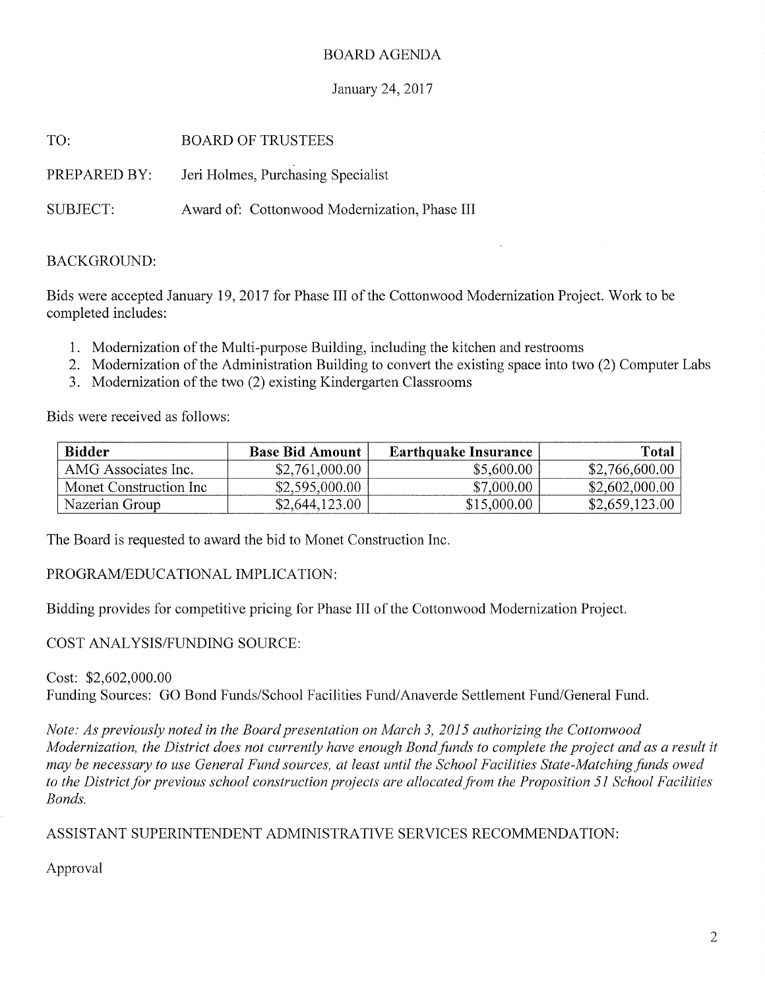#### BOARD AGENDA

#### January 24,2017

| TO:          | <b>BOARD OF TRUSTEES</b>                      |
|--------------|-----------------------------------------------|
| PREPARED BY: | Jeri Holmes, Purchasing Specialist            |
| SUBJECT:     | Award of: Cottonwood Modernization, Phase III |

#### BACKGROUND:

Bids were accepted January 19,2017 for Phase III of the Cottonwood Modernization Project. Work to be completed includes:

- 1. Modernization of the Multi-purpose Building, including the kitchen and restrooms
- 2. Modernization of the Administration Building to convert the existing space into two (2) Computer Labs
- 3. Modernization of the two (2) existing Kindergarten Classrooms

Bids were received as follows

| <b>Bidder</b>          | <b>Base Bid Amount</b> | <b>Earthquake Insurance</b> | Total          |
|------------------------|------------------------|-----------------------------|----------------|
| AMG Associates Inc.    | \$2,761,000.00         | \$5,600.00                  | \$2,766,600.00 |
| Monet Construction Inc | \$2,595,000.00         | \$7,000.00                  | \$2,602,000.00 |
| Nazerian Group         | \$2,644,123.00         | \$15,000.00                 | \$2,659,123.00 |

The Board is requested to award the bid to Monet Construction Inc.

PROGRAM/EDUCATIONAL IMPLICATION:

Bidding provides for competitive pricing for Phase III of the Cottonwood Modernization Project

COST ANALYSIS/FUNDING SOURCE:

Cost: \$2,602,000.00 Funding Sources: GO Bond Funds/School Facilities Fund/Anaverde Settlement Fund/General Fund.

Note: As previously noted in the Board presentaíion on March 3, 2015 authorizing the Cottonwood Modernization, the District does not currently have enough Bond funds to complete the project and as a result it may be necessary to use General Fund sources, at least until the School Facilities State-Matching funds owed to the District for previous school construction projects are allocated from the Proposition 51 School Facilities Bonds.

ASSISTANT SUPERINTENDENT ADMINISTRATIVE SERVICES RECOMMENDATION

Approval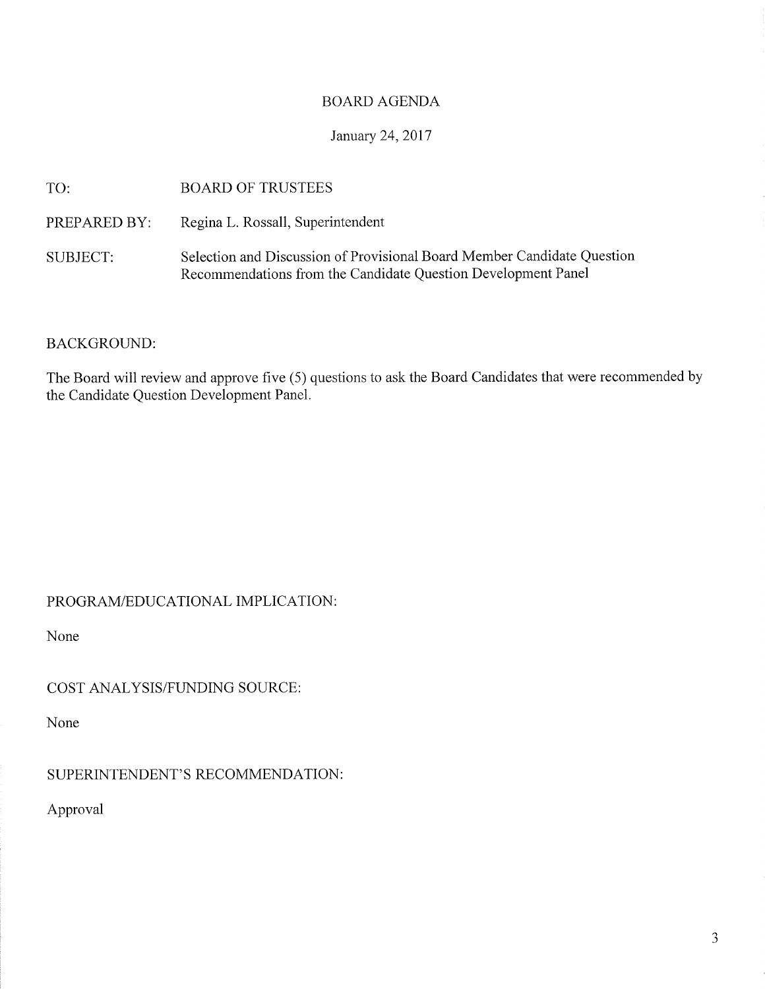#### BOARD AGENDA

### January 24,2017

| TO:          | <b>BOARD OF TRUSTEES</b>                                                                                                                 |
|--------------|------------------------------------------------------------------------------------------------------------------------------------------|
| PREPARED BY: | Regina L. Rossall, Superintendent                                                                                                        |
| SUBJECT:     | Selection and Discussion of Provisional Board Member Candidate Question<br>Recommendations from the Candidate Question Development Panel |

#### BACKGROUND:

The Board will review and approve five (5) questions to ask the Board Candidates that were recommended by the Candidate Question Development Panel.

PROGRAM/EDUCATIONAL IMPLiCATION

None

COST ANALYSIS/FUNDING SOURCE:

None

SUPERINTENDENT'S RECOMMENDATION:

Approval